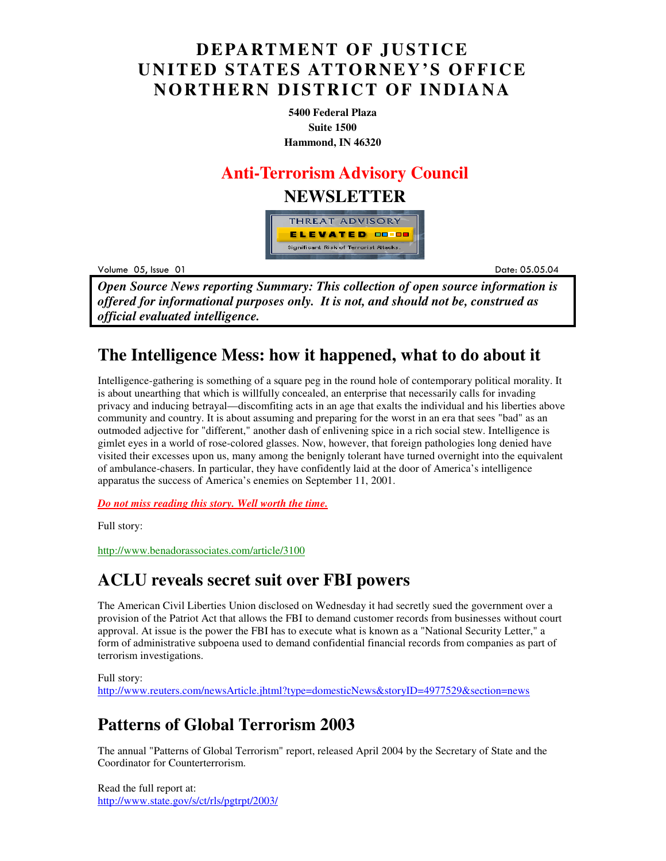## **DEPARTMENT OF JUSTICE UNITED STATES ATTORNEY'S OFFICE NORTHERN DISTRICT OF INDIANA**

**5400 Federal Plaza Suite 1500 Hammond, IN 46320**

### **Anti-Terrorism Advisory Council**

### **NEWSLETTER**



Volume 05

example to the contract of the contract of the contract of the contract of the contract of the contract of the contract of the contract of the contract of the contract of the contract of the contract of the contract of the .05.04

*Open Source News reporting Summary: This collection of open source information is offered for informational purposes only. It is not, and should not be, construed as official evaluated intelligence.*

## **The Intelligence Mess: how it happened, what to do about it**

Intelligence-gathering is something of a square peg in the round hole of contemporary political morality. It is about unearthing that which is willfully concealed, an enterprise that necessarily calls for invading privacy and inducing betrayal—discomfiting acts in an age that exalts the individual and his liberties above community and country. It is about assuming and preparing for the worst in an era that sees "bad" as an outmoded adjective for "different," another dash of enlivening spice in a rich social stew. Intelligence is gimlet eyes in a world of rose-colored glasses. Now, however, that foreign pathologies long denied have visited their excesses upon us, many among the benignly tolerant have turned overnight into the equivalent of ambulance-chasers. In particular, they have confidently laid at the door of America's intelligence apparatus the success of America's enemies on September 11, 2001.

*Do not miss reading this story. Well worth the time.*

Full story:

http://www.benadorassociates.com/article/3100

### **ACLU reveals secret suit over FBI powers**

The American Civil Liberties Union disclosed on Wednesday it had secretly sued the government over a provision of the Patriot Act that allows the FBI to demand customer records from businesses without court approval. At issue is the power the FBI has to execute what is known as a "National Security Letter," a form of administrative subpoena used to demand confidential financial records from companies as part of terrorism investigations.

#### Full story: http://www.reuters.com/newsArticle.jhtml?type=domesticNews&storyID=4977529&section=news

# **Patterns of Global Terrorism 2003**

The annual "Patterns of Global Terrorism" report, released April 2004 by the Secretary of State and the Coordinator for Counterterrorism.

Read the full report at: http://www.state.gov/s/ct/rls/pgtrpt/2003/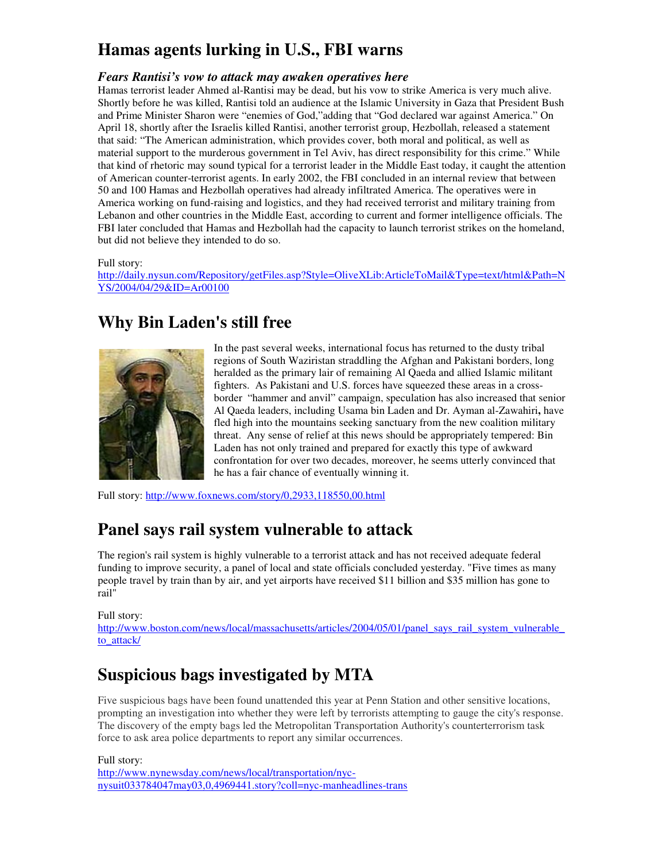# **Hamas agents lurking in U.S., FBI warns**

#### *Fears Rantisi's vow to attack may awaken operatives here*

Hamas terrorist leader Ahmed al-Rantisi may be dead, but his vow to strike America is very much alive. Shortly before he was killed, Rantisi told an audience at the Islamic University in Gaza that President Bush and Prime Minister Sharon were "enemies of God,"adding that "God declared war against America." On April 18, shortly after the Israelis killed Rantisi, another terrorist group, Hezbollah, released a statement that said: "The American administration, which provides cover, both moral and political, as well as material support to the murderous government in Tel Aviv, has direct responsibility for this crime." While that kind of rhetoric may sound typical for a terrorist leader in the Middle East today, it caught the attention of American counter-terrorist agents. In early 2002, the FBI concluded in an internal review that between 50 and 100 Hamas and Hezbollah operatives had already infiltrated America. The operatives were in America working on fund-raising and logistics, and they had received terrorist and military training from Lebanon and other countries in the Middle East, according to current and former intelligence officials. The FBI later concluded that Hamas and Hezbollah had the capacity to launch terrorist strikes on the homeland, but did not believe they intended to do so.

#### Full story:

http://daily.nysun.com/Repository/getFiles.asp?Style=OliveXLib:ArticleToMail&Type=text/html&Path=N YS/2004/04/29&ID=Ar00100

### **Why Bin Laden's still free**



In the past several weeks, international focus has returned to the dusty tribal regions of South Waziristan straddling the Afghan and Pakistani borders, long heralded as the primary lair of remaining Al Qaeda and allied Islamic militant fighters. As Pakistani and U.S. forces have squeezed these areas in a crossborder "hammer and anvil" campaign, speculation has also increased that senior Al Qaeda leaders, including Usama bin Laden and Dr. Ayman al-Zawahiri**,** have fled high into the mountains seeking sanctuary from the new coalition military threat. Any sense of relief at this news should be appropriately tempered: Bin Laden has not only trained and prepared for exactly this type of awkward confrontation for over two decades, moreover, he seems utterly convinced that he has a fair chance of eventually winning it.

Full story: http://www.foxnews.com/story/0,2933,118550,00.html

### **Panel says rail system vulnerable to attack**

The region's rail system is highly vulnerable to a terrorist attack and has not received adequate federal funding to improve security, a panel of local and state officials concluded yesterday. "Five times as many people travel by train than by air, and yet airports have received \$11 billion and \$35 million has gone to rail"

#### Full story:

http://www.boston.com/news/local/massachusetts/articles/2004/05/01/panel\_says\_rail\_system\_vulnerable to\_attack/

### **Suspicious bags investigated by MTA**

Five suspicious bags have been found unattended this year at Penn Station and other sensitive locations, prompting an investigation into whether they were left by terrorists attempting to gauge the city's response. The discovery of the empty bags led the Metropolitan Transportation Authority's counterterrorism task force to ask area police departments to report any similar occurrences.

Full story:

http://www.nynewsday.com/news/local/transportation/nycnysuit033784047may03,0,4969441.story?coll=nyc-manheadlines-trans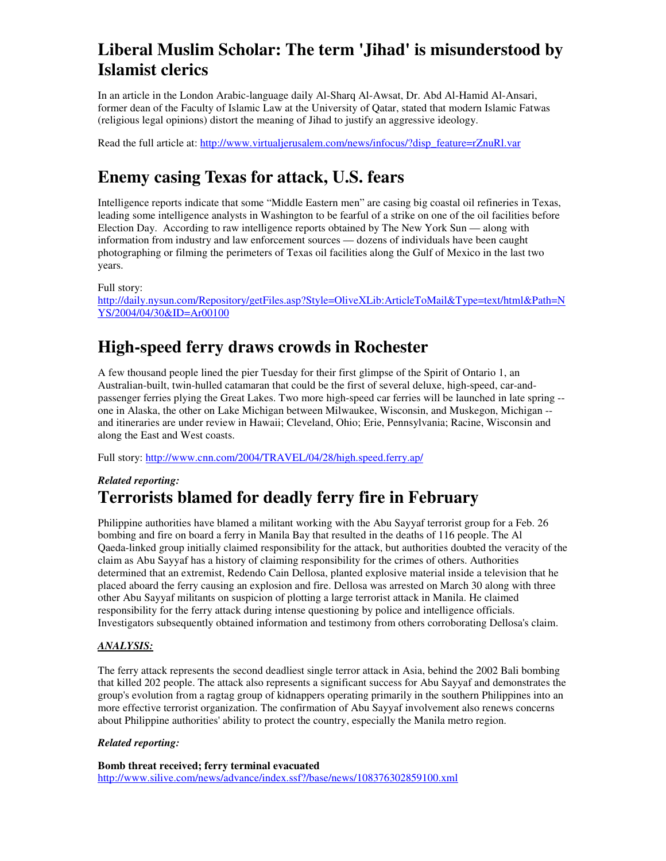# **Liberal Muslim Scholar: The term 'Jihad' is misunderstood by Islamist clerics**

In an article in the London Arabic-language daily Al-Sharq Al-Awsat, Dr. Abd Al-Hamid Al-Ansari, former dean of the Faculty of Islamic Law at the University of Qatar, stated that modern Islamic Fatwas (religious legal opinions) distort the meaning of Jihad to justify an aggressive ideology.

Read the full article at: http://www.virtualjerusalem.com/news/infocus/?disp\_feature=rZnuRl.var

# **Enemy casing Texas for attack, U.S. fears**

Intelligence reports indicate that some "Middle Eastern men" are casing big coastal oil refineries in Texas, leading some intelligence analysts in Washington to be fearful of a strike on one of the oil facilities before Election Day. According to raw intelligence reports obtained by The New York Sun — along with information from industry and law enforcement sources — dozens of individuals have been caught photographing or filming the perimeters of Texas oil facilities along the Gulf of Mexico in the last two years.

Full story:

http://daily.nysun.com/Repository/getFiles.asp?Style=OliveXLib:ArticleToMail&Type=text/html&Path=N YS/2004/04/30&ID=Ar00100

# **High-speed ferry draws crowds in Rochester**

A few thousand people lined the pier Tuesday for their first glimpse of the Spirit of Ontario 1, an Australian-built, twin-hulled catamaran that could be the first of several deluxe, high-speed, car-andpassenger ferries plying the Great Lakes. Two more high-speed car ferries will be launched in late spring - one in Alaska, the other on Lake Michigan between Milwaukee, Wisconsin, and Muskegon, Michigan - and itineraries are under review in Hawaii; Cleveland, Ohio; Erie, Pennsylvania; Racine, Wisconsin and along the East and West coasts.

Full story: http://www.cnn.com/2004/TRAVEL/04/28/high.speed.ferry.ap/

### *Related reporting:*  **Terrorists blamed for deadly ferry fire in February**

Philippine authorities have blamed a militant working with the Abu Sayyaf terrorist group for a Feb. 26 bombing and fire on board a ferry in Manila Bay that resulted in the deaths of 116 people. The Al Qaeda-linked group initially claimed responsibility for the attack, but authorities doubted the veracity of the claim as Abu Sayyaf has a history of claiming responsibility for the crimes of others. Authorities determined that an extremist, Redendo Cain Dellosa, planted explosive material inside a television that he placed aboard the ferry causing an explosion and fire. Dellosa was arrested on March 30 along with three other Abu Sayyaf militants on suspicion of plotting a large terrorist attack in Manila. He claimed responsibility for the ferry attack during intense questioning by police and intelligence officials. Investigators subsequently obtained information and testimony from others corroborating Dellosa's claim.

#### *ANALYSIS:*

The ferry attack represents the second deadliest single terror attack in Asia, behind the 2002 Bali bombing that killed 202 people. The attack also represents a significant success for Abu Sayyaf and demonstrates the group's evolution from a ragtag group of kidnappers operating primarily in the southern Philippines into an more effective terrorist organization. The confirmation of Abu Sayyaf involvement also renews concerns about Philippine authorities' ability to protect the country, especially the Manila metro region.

#### *Related reporting:*

**Bomb threat received; ferry terminal evacuated**  http://www.silive.com/news/advance/index.ssf?/base/news/108376302859100.xml